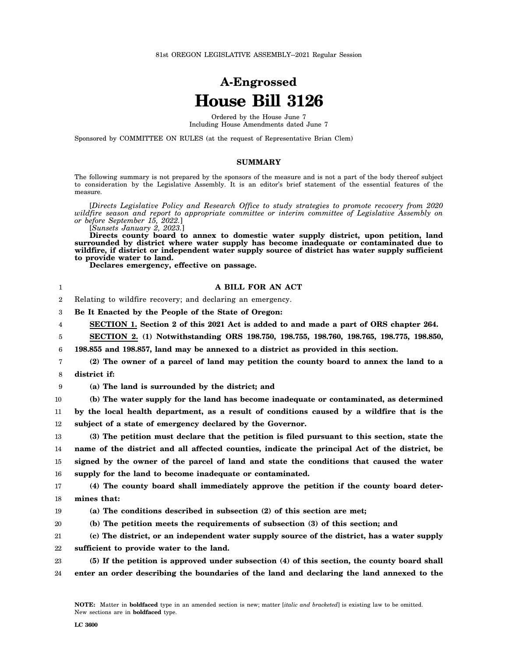## **A-Engrossed House Bill 3126**

Ordered by the House June 7 Including House Amendments dated June 7

Sponsored by COMMITTEE ON RULES (at the request of Representative Brian Clem)

## **SUMMARY**

The following summary is not prepared by the sponsors of the measure and is not a part of the body thereof subject to consideration by the Legislative Assembly. It is an editor's brief statement of the essential features of the measure.

[*Directs Legislative Policy and Research Office to study strategies to promote recovery from 2020 wildfire season and report to appropriate committee or interim committee of Legislative Assembly on or before September 15, 2022.*]

[*Sunsets January 2, 2023.*]

**Directs county board to annex to domestic water supply district, upon petition, land surrounded by district where water supply has become inadequate or contaminated due to wildfire, if district or independent water supply source of district has water supply sufficient to provide water to land.**

**Declares emergency, effective on passage.**

| 1              | A BILL FOR AN ACT                                                                              |
|----------------|------------------------------------------------------------------------------------------------|
| $\overline{2}$ | Relating to wildfire recovery; and declaring an emergency.                                     |
| 3              | Be It Enacted by the People of the State of Oregon:                                            |
| 4              | SECTION 1. Section 2 of this 2021 Act is added to and made a part of ORS chapter 264.          |
| 5              | SECTION 2. (1) Notwithstanding ORS 198.750, 198.755, 198.760, 198.765, 198.775, 198.850,       |
| 6              | 198.855 and 198.857, land may be annexed to a district as provided in this section.            |
| 7              | (2) The owner of a parcel of land may petition the county board to annex the land to a         |
| 8              | district if:                                                                                   |
| 9              | (a) The land is surrounded by the district; and                                                |
| 10             | (b) The water supply for the land has become inadequate or contaminated, as determined         |
| 11             | by the local health department, as a result of conditions caused by a wildfire that is the     |
| 12             | subject of a state of emergency declared by the Governor.                                      |
| 13             | (3) The petition must declare that the petition is filed pursuant to this section, state the   |
| 14             | name of the district and all affected counties, indicate the principal Act of the district, be |
| 15             | signed by the owner of the parcel of land and state the conditions that caused the water       |
| 16             | supply for the land to become inadequate or contaminated.                                      |
| 17             | (4) The county board shall immediately approve the petition if the county board deter-         |
| 18             | mines that:                                                                                    |
| 19             | (a) The conditions described in subsection (2) of this section are met;                        |
| 20             | (b) The petition meets the requirements of subsection (3) of this section; and                 |
| 21             | (c) The district, or an independent water supply source of the district, has a water supply    |
| 22             | sufficient to provide water to the land.                                                       |
| 23             | (5) If the petition is approved under subsection (4) of this section, the county board shall   |
| 24             | enter an order describing the boundaries of the land and declaring the land annexed to the     |
|                |                                                                                                |